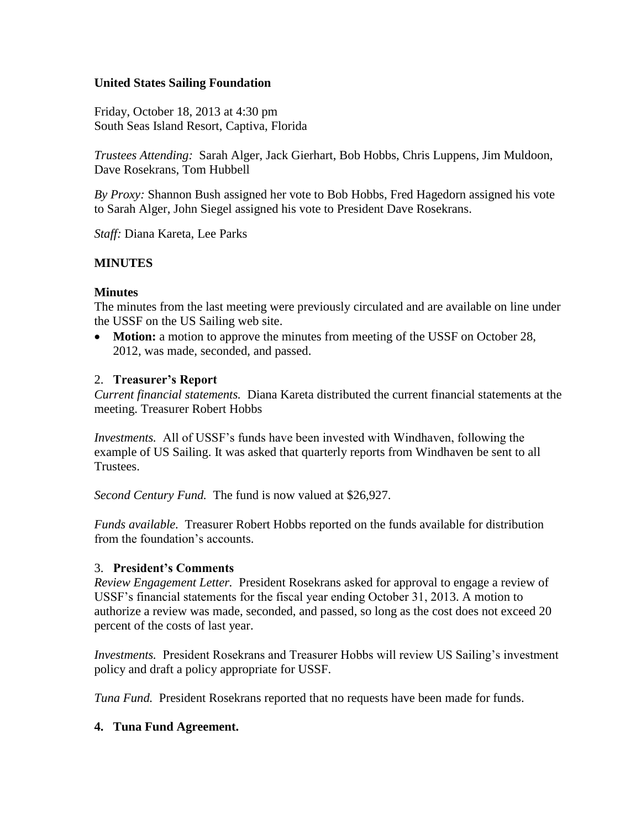## **United States Sailing Foundation**

Friday, October 18, 2013 at 4:30 pm South Seas Island Resort, Captiva, Florida

*Trustees Attending:* Sarah Alger, Jack Gierhart, Bob Hobbs, Chris Luppens, Jim Muldoon, Dave Rosekrans, Tom Hubbell

*By Proxy:* Shannon Bush assigned her vote to Bob Hobbs, Fred Hagedorn assigned his vote to Sarah Alger, John Siegel assigned his vote to President Dave Rosekrans.

*Staff:* Diana Kareta, Lee Parks

### **MINUTES**

### **Minutes**

The minutes from the last meeting were previously circulated and are available on line under the USSF on the US Sailing web site.

 **Motion:** a motion to approve the minutes from meeting of the USSF on October 28, 2012, was made, seconded, and passed.

#### 2. **Treasurer's Report**

*Current financial statements.* Diana Kareta distributed the current financial statements at the meeting. Treasurer Robert Hobbs

*Investments.* All of USSF's funds have been invested with Windhaven, following the example of US Sailing. It was asked that quarterly reports from Windhaven be sent to all Trustees.

*Second Century Fund.* The fund is now valued at \$26,927.

*Funds available.* Treasurer Robert Hobbs reported on the funds available for distribution from the foundation's accounts.

#### 3. **President's Comments**

*Review Engagement Letter.* President Rosekrans asked for approval to engage a review of USSF's financial statements for the fiscal year ending October 31, 2013. A motion to authorize a review was made, seconded, and passed, so long as the cost does not exceed 20 percent of the costs of last year.

*Investments.* President Rosekrans and Treasurer Hobbs will review US Sailing's investment policy and draft a policy appropriate for USSF.

*Tuna Fund.* President Rosekrans reported that no requests have been made for funds.

#### **4. Tuna Fund Agreement.**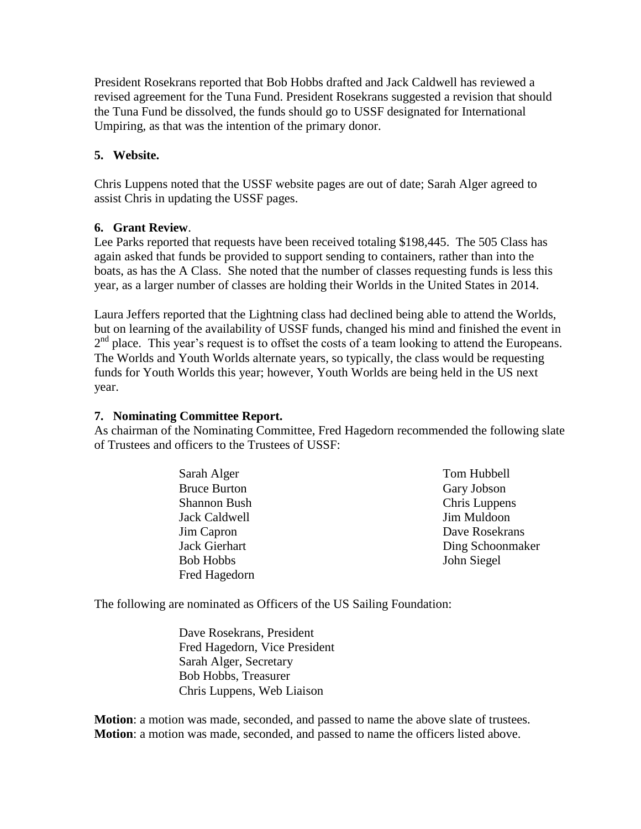President Rosekrans reported that Bob Hobbs drafted and Jack Caldwell has reviewed a revised agreement for the Tuna Fund. President Rosekrans suggested a revision that should the Tuna Fund be dissolved, the funds should go to USSF designated for International Umpiring, as that was the intention of the primary donor.

## **5. Website.**

Chris Luppens noted that the USSF website pages are out of date; Sarah Alger agreed to assist Chris in updating the USSF pages.

## **6. Grant Review**.

Lee Parks reported that requests have been received totaling \$198,445. The 505 Class has again asked that funds be provided to support sending to containers, rather than into the boats, as has the A Class. She noted that the number of classes requesting funds is less this year, as a larger number of classes are holding their Worlds in the United States in 2014.

Laura Jeffers reported that the Lightning class had declined being able to attend the Worlds, but on learning of the availability of USSF funds, changed his mind and finished the event in 2<sup>nd</sup> place. This year's request is to offset the costs of a team looking to attend the Europeans. The Worlds and Youth Worlds alternate years, so typically, the class would be requesting funds for Youth Worlds this year; however, Youth Worlds are being held in the US next year.

## **7. Nominating Committee Report.**

As chairman of the Nominating Committee, Fred Hagedorn recommended the following slate of Trustees and officers to the Trustees of USSF:

> Sarah Alger Bruce Burton Shannon Bush Jack Caldwell Jim Capron Jack Gierhart Bob Hobbs Fred Hagedorn

Tom Hubbell Gary Jobson Chris Luppens Jim Muldoon Dave Rosekrans Ding Schoonmaker John Siegel

The following are nominated as Officers of the US Sailing Foundation:

Dave Rosekrans, President Fred Hagedorn, Vice President Sarah Alger, Secretary Bob Hobbs, Treasurer Chris Luppens, Web Liaison

**Motion**: a motion was made, seconded, and passed to name the above slate of trustees. **Motion**: a motion was made, seconded, and passed to name the officers listed above.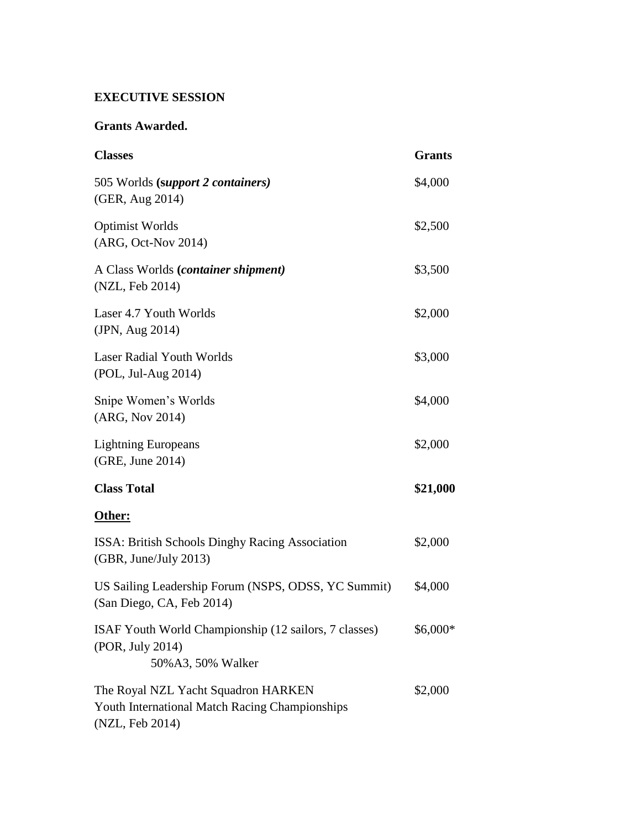# **EXECUTIVE SESSION**

## **Grants Awarded.**

| <b>Classes</b>                                                                                           | <b>Grants</b> |
|----------------------------------------------------------------------------------------------------------|---------------|
| 505 Worlds (support 2 containers)<br>(GER, Aug 2014)                                                     | \$4,000       |
| <b>Optimist Worlds</b><br>(ARG, Oct-Nov 2014)                                                            | \$2,500       |
| A Class Worlds (container shipment)<br>(NZL, Feb 2014)                                                   | \$3,500       |
| Laser 4.7 Youth Worlds<br>(JPN, Aug 2014)                                                                | \$2,000       |
| <b>Laser Radial Youth Worlds</b><br>(POL, Jul-Aug 2014)                                                  | \$3,000       |
| Snipe Women's Worlds<br>(ARG, Nov 2014)                                                                  | \$4,000       |
| <b>Lightning Europeans</b><br>(GRE, June 2014)                                                           | \$2,000       |
| <b>Class Total</b>                                                                                       | \$21,000      |
| Other:                                                                                                   |               |
| ISSA: British Schools Dinghy Racing Association<br>(GBR, June/July 2013)                                 | \$2,000       |
| US Sailing Leadership Forum (NSPS, ODSS, YC Summit)<br>(San Diego, CA, Feb 2014)                         | \$4,000       |
| ISAF Youth World Championship (12 sailors, 7 classes)<br>(POR, July 2014)<br>50% A3, 50% Walker          | \$6,000*      |
| The Royal NZL Yacht Squadron HARKEN<br>Youth International Match Racing Championships<br>(NZL, Feb 2014) | \$2,000       |